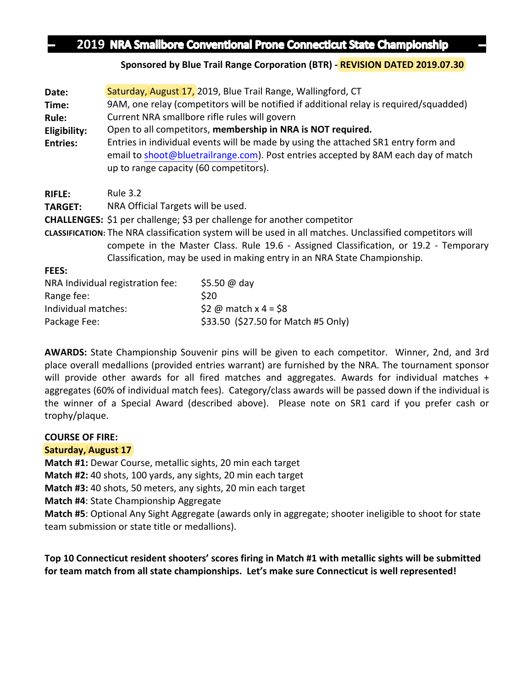# **2019 NRA Smallbore Conventional Prone Connecticut State Championship**

#### **Sponsored by Blue Trail Range Corporation (BTR) - REVISION DATED 2019.07.30**

| Date:           | Saturday, August 17, 2019, Blue Trail Range, Wallingford, CT                                                                                                                                                                                                                   |              |  |  |  |  |
|-----------------|--------------------------------------------------------------------------------------------------------------------------------------------------------------------------------------------------------------------------------------------------------------------------------|--------------|--|--|--|--|
| Time:           | 9AM, one relay (competitors will be notified if additional relay is required/squadded)                                                                                                                                                                                         |              |  |  |  |  |
| Rule:           | Current NRA smallbore rifle rules will govern                                                                                                                                                                                                                                  |              |  |  |  |  |
| Eligibility:    | Open to all competitors, membership in NRA is NOT required.                                                                                                                                                                                                                    |              |  |  |  |  |
| <b>Entries:</b> | Entries in individual events will be made by using the attached SR1 entry form and<br>email to shoot@bluetrailrange.com). Post entries accepted by 8AM each day of match<br>up to range capacity (60 competitors).                                                             |              |  |  |  |  |
| <b>RIFLE:</b>   | <b>Rule 3.2</b>                                                                                                                                                                                                                                                                |              |  |  |  |  |
| <b>TARGET:</b>  | NRA Official Targets will be used.                                                                                                                                                                                                                                             |              |  |  |  |  |
|                 | <b>CHALLENGES:</b> \$1 per challenge; \$3 per challenge for another competitor                                                                                                                                                                                                 |              |  |  |  |  |
|                 | CLASSIFICATION: The NRA classification system will be used in all matches. Unclassified competitors will<br>compete in the Master Class. Rule 19.6 - Assigned Classification, or 19.2 - Temporary<br>Classification, may be used in making entry in an NRA State Championship. |              |  |  |  |  |
| FEES:           |                                                                                                                                                                                                                                                                                |              |  |  |  |  |
|                 | NRA Individual registration fee:                                                                                                                                                                                                                                               | \$5.50 @ day |  |  |  |  |
| Range fee:      | \$20                                                                                                                                                                                                                                                                           |              |  |  |  |  |

|                     | yonov ve way                        |
|---------------------|-------------------------------------|
| Range fee:          | \$20                                |
| Individual matches: | \$2 @ match x 4 = \$8               |
| Package Fee:        | \$33.50 (\$27.50 for Match #5 Only) |

**AWARDS:** State Championship Souvenir pins will be given to each competitor. Winner, 2nd, and 3rd place overall medallions (provided entries warrant) are furnished by the NRA. The tournament sponsor will provide other awards for all fired matches and aggregates. Awards for individual matches  $+$ aggregates (60% of individual match fees). Category/class awards will be passed down if the individual is the winner of a Special Award (described above). Please note on SR1 card if you prefer cash or trophy/plaque. 

#### **COURSE OF FIRE:**

### **Saturday, August 17**

**Match #1:** Dewar Course, metallic sights, 20 min each target

**Match #2:** 40 shots, 100 yards, any sights, 20 min each target

**Match #3:** 40 shots, 50 meters, any sights, 20 min each target

**Match #4**: State Championship Aggregate

**Match #5**: Optional Any Sight Aggregate (awards only in aggregate; shooter ineligible to shoot for state team submission or state title or medallions).

## Top 10 Connecticut resident shooters' scores firing in Match #1 with metallic sights will be submitted for team match from all state championships. Let's make sure Connecticut is well represented!